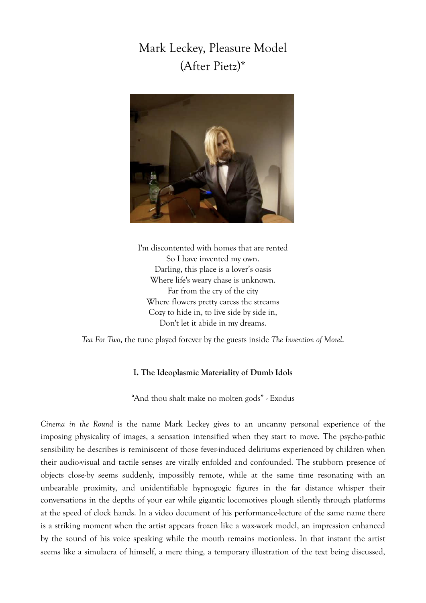# Mark Leckey, Pleasure Model (After Pietz)\*



I'm discontented with homes that are rented So I have invented my own. Darling, this place is a lover's oasis Where life's weary chase is unknown. Far from the cry of the city Where flowers pretty caress the streams Cozy to hide in, to live side by side in, Don't let it abide in my dreams.

*Tea For Two*, the tune played forever by the guests inside *The Invention of Morel*.

## **I. The Ideoplasmic Materiality of Dumb Idols**

"And thou shalt make no molten gods" - Exodus

*Cinema in the Round* is the name Mark Leckey gives to an uncanny personal experience of the imposing physicality of images, a sensation intensified when they start to move. The psycho-pathic sensibility he describes is reminiscent of those fever-induced deliriums experienced by children when their audio-visual and tactile senses are virally enfolded and confounded. The stubborn presence of objects close-by seems suddenly, impossibly remote, while at the same time resonating with an unbearable proximity, and unidentifiable hypnogogic figures in the far distance whisper their conversations in the depths of your ear while gigantic locomotives plough silently through platforms at the speed of clock hands. In a video document of his performance-lecture of the same name there is a striking moment when the artist appears frozen like a wax-work model, an impression enhanced by the sound of his voice speaking while the mouth remains motionless. In that instant the artist seems like a simulacra of himself, a mere thing, a temporary illustration of the text being discussed,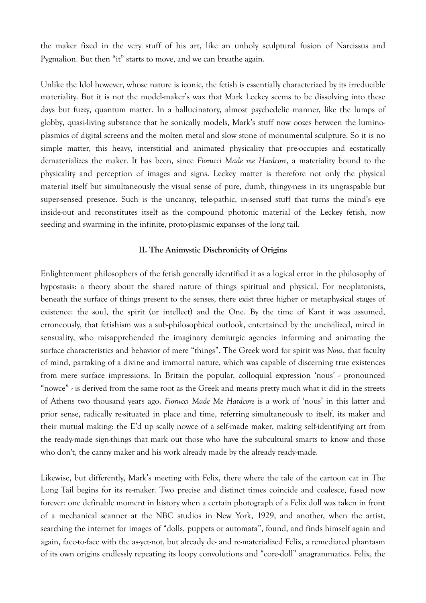the maker fixed in the very stuff of his art, like an unholy sculptural fusion of Narcissus and Pygmalion. But then "it" starts to move, and we can breathe again.

Unlike the Idol however, whose nature is iconic, the fetish is essentially characterized by its irreducible materiality. But it is not the model-maker's wax that Mark Leckey seems to be dissolving into these days but fuzzy, quantum matter. In a hallucinatory, almost psychedelic manner, like the lumps of globby, quasi-living substance that he sonically models, Mark's stuff now oozes between the luminoplasmics of digital screens and the molten metal and slow stone of monumental sculpture. So it is no simple matter, this heavy, interstitial and animated physicality that pre-occupies and ecstatically dematerializes the maker. It has been, since *Fiorucci Made me Hardcore*, a materiality bound to the physicality and perception of images and signs. Leckey matter is therefore not only the physical material itself but simultaneously the visual sense of pure, dumb, thingy-ness in its ungraspable but super-sensed presence. Such is the uncanny, tele-pathic, in-sensed stuff that turns the mind's eye inside-out and reconstitutes itself as the compound photonic material of the Leckey fetish, now seeding and swarming in the infinite, proto-plasmic expanses of the long tail.

### **II. The Animystic Dischronicity of Origins**

Enlightenment philosophers of the fetish generally identified it as a logical error in the philosophy of hypostasis: a theory about the shared nature of things spiritual and physical. For neoplatonists, beneath the surface of things present to the senses, there exist three higher or metaphysical stages of existence: the soul, the spirit (or intellect) and the One. By the time of Kant it was assumed, erroneously, that fetishism was a sub-philosophical outlook, entertained by the uncivilized, mired in sensuality, who misapprehended the imaginary demiurgic agencies informing and animating the surface characteristics and behavior of mere "things". The Greek word for spirit was *Nous*, that faculty of mind, partaking of a divine and immortal nature, which was capable of discerning true existences from mere surface impressions. In Britain the popular, colloquial expression 'nous' - pronounced "nowce" - is derived from the same root as the Greek and means pretty much what it did in the streets of Athens two thousand years ago. *Fiorucci Made Me Hardcore* is a work of 'nous' in this latter and prior sense, radically re-situated in place and time, referring simultaneously to itself, its maker and their mutual making: the E'd up scally nowce of a self-made maker, making self-identifying art from the ready-made sign-things that mark out those who have the subcultural smarts to know and those who don't, the canny maker and his work already made by the already ready-made.

Likewise, but differently, Mark's meeting with Felix, there where the tale of the cartoon cat in The Long Tail begins for its re-maker. Two precise and distinct times coincide and coalesce, fused now forever: one definable moment in history when a certain photograph of a Felix doll was taken in front of a mechanical scanner at the NBC studios in New York, 1929, and another, when the artist, searching the internet for images of "dolls, puppets or automata", found, and finds himself again and again, face-to-face with the as-yet-not, but already de- and re-materialized Felix, a remediated phantasm of its own origins endlessly repeating its loopy convolutions and "core-doll" anagrammatics. Felix, the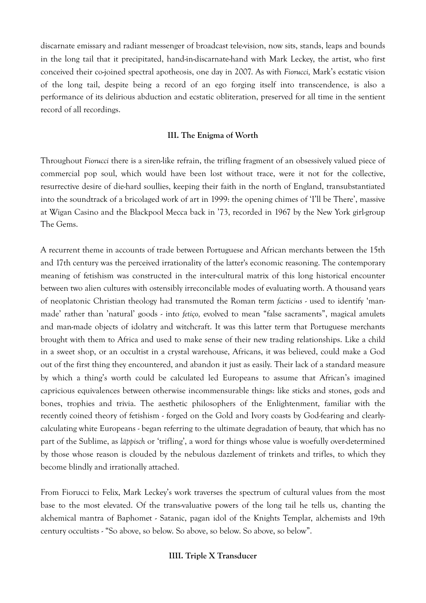discarnate emissary and radiant messenger of broadcast tele-vision, now sits, stands, leaps and bounds in the long tail that it precipitated, hand-in-discarnate-hand with Mark Leckey, the artist, who first conceived their co-joined spectral apotheosis, one day in 2007. As with *Fiorucci,* Mark's ecstatic vision of the long tail, despite being a record of an ego forging itself into transcendence, is also a performance of its delirious abduction and ecstatic obliteration, preserved for all time in the sentient record of all recordings.

### **III. The Enigma of Worth**

Throughout *Fiorucci* there is a siren-like refrain, the trifling fragment of an obsessively valued piece of commercial pop soul, which would have been lost without trace, were it not for the collective, resurrective desire of die-hard soullies, keeping their faith in the north of England, transubstantiated into the soundtrack of a bricolaged work of art in 1999: the opening chimes of 'I'll be There', massive at Wigan Casino and the Blackpool Mecca back in '73, recorded in 1967 by the New York girl-group The Gems.

A recurrent theme in accounts of trade between Portuguese and African merchants between the 15th and 17th century was the perceived irrationality of the latter's economic reasoning. The contemporary meaning of fetishism was constructed in the inter-cultural matrix of this long historical encounter between two alien cultures with ostensibly irreconcilable modes of evaluating worth. A thousand years of neoplatonic Christian theology had transmuted the Roman term *facticius* - used to identify 'manmade' rather than 'natural' goods - into *fetiço,* evolved to mean "false sacraments", magical amulets and man-made objects of idolatry and witchcraft. It was this latter term that Portuguese merchants brought with them to Africa and used to make sense of their new trading relationships. Like a child in a sweet shop, or an occultist in a crystal warehouse, Africans, it was believed, could make a God out of the first thing they encountered, and abandon it just as easily. Their lack of a standard measure by which a thing's worth could be calculated led Europeans to assume that African's imagined capricious equivalences between otherwise incommensurable things: like sticks and stones, gods and bones, trophies and trivia. The aesthetic philosophers of the Enlightenment, familiar with the recently coined theory of fetishism - forged on the Gold and Ivory coasts by God-fearing and clearlycalculating white Europeans - began referring to the ultimate degradation of beauty, that which has no part of the Sublime, as *läppisch* or 'trifling', a word for things whose value is woefully over-determined by those whose reason is clouded by the nebulous dazzlement of trinkets and trifles, to which they become blindly and irrationally attached.

From Fiorucci to Felix, Mark Leckey's work traverses the spectrum of cultural values from the most base to the most elevated. Of the trans-valuative powers of the long tail he tells us, chanting the alchemical mantra of Baphomet - Satanic, pagan idol of the Knights Templar, alchemists and 19th century occultists - "So above, so below. So above, so below. So above, so below".

## **IIII. Triple X Transducer**